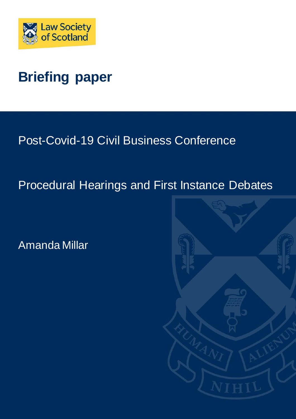

# **Briefing paper**

Post-Covid-19 Civil Business Conference

## Procedural Hearings and First Instance Debates

Amanda Millar

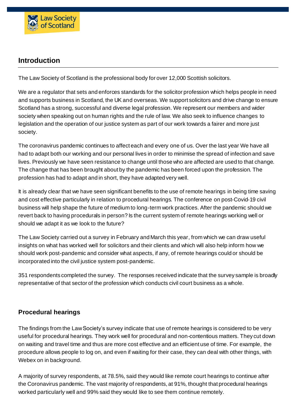

## **Introduction**

The Law Society of Scotland is the professional body for over 12,000 Scottish solicitors.

We are a regulator that sets and enforces standards for the solicitor profession which helps people in need and supports business in Scotland, the UK and overseas. We support solicitors and drive change to ensure Scotland has a strong, successful and diverse legal profession. We represent our members and wider society when speaking out on human rights and the rule of law. We also seek to influence changes to legislation and the operation of our justice system as part of our work towards a fairer and more just society.

The coronavirus pandemic continues to affect each and every one of us. Over the last year We have all had to adapt both our working and our personal lives in order to minimise the spread of infection and save lives. Previously we have seen resistance to change until those who are affected are used to that change. The change that has been brought about by the pandemic has been forced upon the profession. The profession has had to adapt and in short, they have adapted very well.

It is already clear that we have seen significant benefits to the use of remote hearings in being time saving and cost effective particularly in relation to procedural hearings. The conference on post-Covid-19 civil business will help shape the future of medium to long-term work practices. After the pandemic should we revert back to having procedurals in person? Is the current system of remote hearings working well or should we adapt it as we look to the future?

The Law Society carried out a survey in February and March this year, from which we can draw useful insights on what has worked well for solicitors and their clients and which will also help inform how we should work post-pandemic and consider what aspects, if any, of remote hearings could or should be incorporated into the civil justice system post-pandemic.

351 respondents completed the survey. The responses received indicate that the survey sample is broadly representative of that sector of the profession which conducts civil court business as a whole.

#### **Procedural hearings**

The findings from the Law Society's survey indicate that use of remote hearings is considered to be very useful for procedural hearings. They work well for procedural and non-contentious matters. They cut down on waiting and travel time and thus are more cost effective and an efficient use of time. For example, the procedure allows people to log on, and even if waiting for their case, they can deal with other things, with Webex on in background.

A majority of survey respondents, at 78.5%, said they would like remote court hearings to continue after the Coronavirus pandemic. The vast majority of respondents, at 91%, thought that procedural hearings worked particularly well and 99% said they would like to see them continue remotely.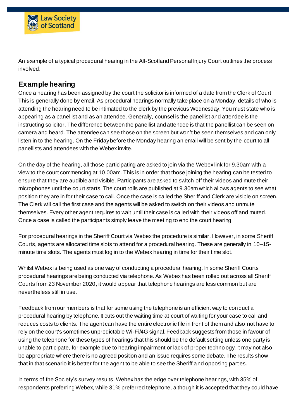

An example of a typical procedural hearing in the All-Scotland Personal Injury Court outlines the process involved.

## **Example hearing**

Once a hearing has been assigned by the court the solicitor is informed of a date from the Clerk of Court. This is generally done by email. As procedural hearings normally take place on a Monday, details of who is attending the hearing need to be intimated to the clerk by the previous Wednesday. You must state who is appearing as a panellist and as an attendee. Generally, counsel is the panellist and attendee is the instructing solicitor. The difference between the panellist and attendee is that the panellist can be seen on camera and heard. The attendee can see those on the screen but won't be seen themselves and can only listen in to the hearing. On the Friday before the Monday hearing an email will be sent by the court to all panellists and attendees with the Webex invite.

On the day of the hearing, all those participating are asked to join via the Webex link for 9.30am with a view to the court commencing at 10.00am. This is in order that those joining the hearing can be tested to ensure that they are audible and visible. Participants are asked to switch off their videos and mute their microphones until the court starts. The court rolls are published at 9.30am which allows agents to see what position they are in for their case to call. Once the case is called the Sheriff and Clerk are visible on screen. The Clerk will call the first case and the agents will be asked to switch on their videos and unmute themselves. Every other agent requires to wait until their case is called with their videos off and muted. Once a case is called the participants simply leave the meeting to end the court hearing.

For procedural hearings in the Sheriff Court via Webex the procedure is similar. However, in some Sheriff Courts, agents are allocated time slots to attend for a procedural hearing. These are generally in 10–15 minute time slots. The agents must log in to the Webex hearing in time for their time slot.

Whilst Webex is being used as one way of conducting a procedural hearing. In some Sheriff Courts procedural hearings are being conducted via telephone. As Webex has been rolled out across all Sheriff Courts from 23 November 2020, it would appear that telephone hearings are less common but are nevertheless still in use.

Feedback from our members is that for some using the telephone is an efficient way to conduct a procedural hearing by telephone. It cuts out the waiting time at court of waiting for your case to call and reduces costs to clients. The agent can have the entire electronic file in front of them and also not have to rely on the court's sometimes unpredictable Wi-Fi/4G signal. Feedback suggests from those in favour of using the telephone for these types of hearings that this should be the default setting unless one party is unable to participate, for example due to hearing impairment or lack of proper technology. It may not also be appropriate where there is no agreed position and an issue requires some debate. The results show that in that scenario it is better for the agent to be able to see the Sheriff and opposing parties.

In terms of the Society's survey results, Webex has the edge over telephone hearings, with 35% of respondents preferring Webex, while 31% preferred telephone, although it is accepted that they could have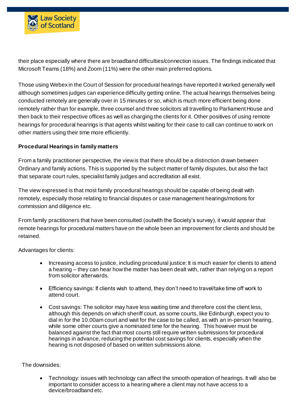

their place especially where there are broadband difficulties/connection issues. The findings indicated that Microsoft Teams (18%) and Zoom (11%) were the other main preferred options.

Those using Webex in the Court of Session for procedural hearings have reported it worked generally well although sometimes judges can experience difficulty getting online. The actual hearings themselves being conducted remotely are generally over in 15 minutes or so, which is much more efficient being done remotely rather than for example, three counsel and three solicitors all travelling to Parliament House and then back to their respective offices as well as charging the clients for it. Other positives of using remote hearings for procedural hearings is that agents whilst waiting for their case to call can continue to work on other matters using their time more efficiently.

#### **Procedural Hearings in family matters**

From a family practitioner perspective, the view is that there should be a distinction drawn between Ordinary and family actions. This is supported by the subject matter of family disputes, but also the fact that separate court rules, specialist family judges and accreditation all exist.

The view expressed is that most family procedural hearings should be capable of being dealt with remotely, especially those relating to financial disputes or case management hearings/motions for commission and diligence etc.

From family practitioners that have been consulted (outwith the Society's survey), it would appear that remote hearings for procedural matters have on the whole been an improvement for clients and should be retained.

Advantages for clients:

- Increasing access to justice, including procedural justice: It is much easier for clients to attend a hearing – they can hear how the matter has been dealt with, rather than relying on a report from solicitor afterwards.
- Efficiency savings: If clients wish to attend, they don't need to travel/take time off work to attend court.
- Cost savings: The solicitor may have less waiting time and therefore cost the client less, although this depends on which sheriff court, as some courts, like Edinburgh, expect you to dial in for the 10.00am court and wait for the case to be called, as with an in-person hearing, while some other courts give a nominated time for the hearing. This however must be balanced against the fact that most courts still require written submissions for procedural hearings in advance, reducing the potential cost savings for clients, especially when the hearing is not disposed of based on written submissions alone.

The downsides:

 Technology: issues with technology can affect the smooth operation of hearings. It will also be important to consider access to a hearing where a client may not have access to a device/broadband etc.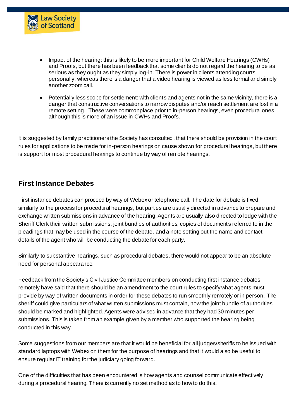

- Impact of the hearing: this is likely to be more important for Child Welfare Hearings (CWHs) and Proofs, but there has been feedback that some clients do not regard the hearing to be as serious as they ought as they simply log-in. There is power in clients attending courts personally, whereas there is a danger that a video hearing is viewed as less formal and simply another zoom call.
- Potentially less scope for settlement: with clients and agents not in the same vicinity, there is a danger that constructive conversations to narrow disputes and/or reach settlement are lost in a remote setting. These were commonplace prior to in-person hearings, even procedural ones although this is more of an issue in CWHs and Proofs.

It is suggested by family practitioners the Society has consulted, that there should be provision in the court rules for applications to be made for in-person hearings on cause shown for procedural hearings, but there is support for most procedural hearings to continue by way of remote hearings.

## **First Instance Debates**

First instance debates can proceed by way of Webex or telephone call. The date for debate is fixed similarly to the process for procedural hearings, but parties are usually directed in advance to prepare and exchange written submissions in advance of the hearing. Agents are usually also directed to lodge with the Sheriff Clerk their written submissions, joint bundles of authorities, copies of documents referred to in the pleadings that may be used in the course of the debate, and a note setting out the name and contact details of the agent who will be conducting the debate for each party.

Similarly to substantive hearings, such as procedural debates, there would not appear to be an absolute need for personal appearance.

Feedback from the Society's Civil Justice Committee members on conducting first instance debates remotely have said that there should be an amendment to the court rules to specify what agents must provide by way of written documents in order for these debates to run smoothly remotely or in person. The sheriff could give particulars of what written submissions must contain, how the joint bundle of authorities should be marked and highlighted. Agents were advised in advance that they had 30 minutes per submissions. This is taken from an example given by a member who supported the hearing being conducted in this way.

Some suggestions from our members are that it would be beneficial for all judges/sheriffs to be issued with standard laptops with Webex on them for the purpose of hearings and that it would also be useful to ensure regular IT training for the judiciary going forward.

One of the difficulties that has been encountered is how agents and counsel communicate effectively during a procedural hearing. There is currently no set method as to how to do this.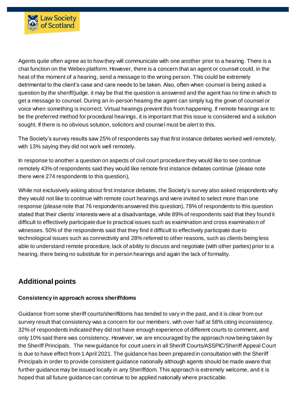

Agents quite often agree as to how they will communicate with one another prior to a hearing. There is a chat function on the Webex platform. However, there is a concern that an agent or counsel could, in the heat of the moment of a hearing, send a message to the wrong person. This could be extremely detrimental to the client's case and care needs to be taken. Also, often when counsel is being asked a question by the sheriff/judge. it may be that the question is answered and the agent has no time in which to get a message to counsel. During an in-person hearing the agent can simply tug the gown of counsel or voice when something is incorrect. Virtual hearings prevent this from happening. If remote hearings are to be the preferred method for procedural hearings, it is important that this issue is considered and a solution sought. If there is no obvious solution, solicitors and counsel must be alert to this.

The Society's survey results saw 25% of respondents say that first instance debates worked well remotely, with 13% saying they did not work well remotely.

In response to another a question on aspects of civil court procedure they would like to see continue remotely 43% of respondents said they would like remote first instance debates continue (please note there were 274 respondents to this question),

While not exclusively asking about first instance debates, the Society's survey also asked respondents why they would not like to continue with remote court hearings and were invited to select more than one response (please note that 76 respondents answered this question). 78% of respondents to this question stated that their clients' interests were at a disadvantage, while 89% of respondents said that they found it difficult to effectively participate due to practical issues such as examination and cross examinatio n of witnesses. 50% of the respondents said that they find it difficult to effectively participate due to technological issues such as connectivity and 28% referred to other reasons, such as clients being less able to understand remote procedure, lack of ability to discuss and negotiate (with other parties) prior to a hearing, there being no substitute for in person hearings and again the lack of formality.

## **Additional points**

#### **Consistency in approach across sheriffdoms**

Guidance from some sheriff courts/sheriffdoms has tended to vary in the past, and it is clear from our survey result that consistency was a concern for our members, with over half at 58% citing inconsistency. 32% of respondents indicated they did not have enough experience of different courts to comment, and only 10% said there was consistency. However, we are encouraged by the approach now being taken by the Sheriff Principals. The new guidance for court users in all Sheriff Courts/ASSPIC/Sheriff Appeal Court is due to have effect from 1 April 2021. The guidance has been prepared in consultation with the Sheriff Principals in order to provide consistent guidance nationally although agents should be made aware that further guidance may be issued locally in any Sheriffdom. This approach is extremely welcome, and it is hoped that all future guidance can continue to be applied nationally where practicable.